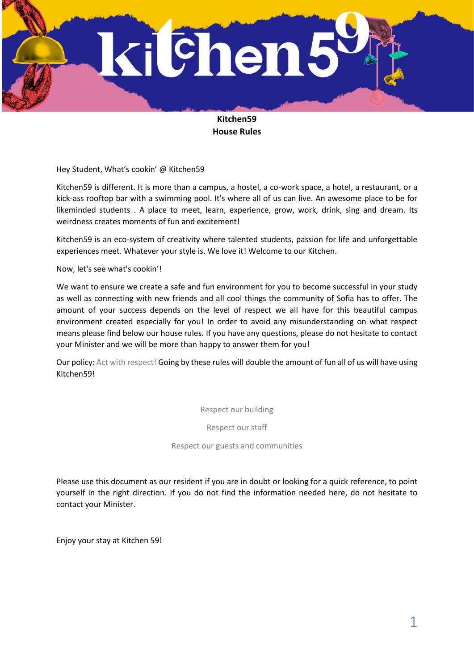

# **Kitchen59 House Rules**

Hey Student, What's cookin' @ Kitchen59

Kitchen59 is different. It is more than a campus, a hostel, a co-work space, a hotel, a restaurant, or a kick-ass rooftop bar with a swimming pool. It's where all of us can live. An awesome place to be for likeminded students . A place to meet, learn, experience, grow, work, drink, sing and dream. Its weirdness creates moments of fun and excitement!

Kitchen59 is an eco-system of creativity where talented students, passion for life and unforgettable experiences meet. Whatever your style is. We love it! Welcome to our Kitchen.

Now, let's see what's cookin'!

We want to ensure we create a safe and fun environment for you to become successful in your study as well as connecting with new friends and all cool things the community of Sofia has to offer. The amount of your success depends on the level of respect we all have for this beautiful campus environment created especially for you! In order to avoid any misunderstanding on what respect means please find below our house rules. If you have any questions, please do not hesitate to contact your Minister and we will be more than happy to answer them for you!

Our policy: Act with respect! Going by these rules will double the amount of fun all of us will have using Kitchen59!

Respect our building

Respect our staff

Respect our guests and communities

Please use this document as our resident if you are in doubt or looking for a quick reference, to point yourself in the right direction. If you do not find the information needed here, do not hesitate to contact your Minister.

Enjoy your stay at Kitchen 59!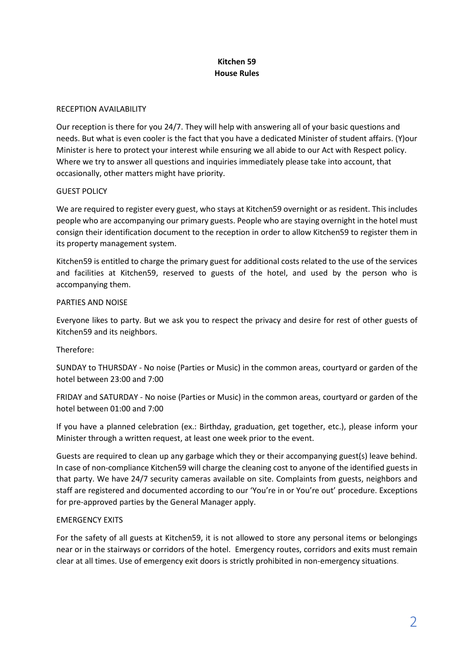## **Kitchen 59 House Rules**

### RECEPTION AVAILABILITY

Our reception is there for you 24/7. They will help with answering all of your basic questions and needs. But what is even cooler is the fact that you have a dedicated Minister of student affairs. (Y)our Minister is here to protect your interest while ensuring we all abide to our Act with Respect policy. Where we try to answer all questions and inquiries immediately please take into account, that occasionally, other matters might have priority.

### GUEST POLICY

We are required to register every guest, who stays at Kitchen59 overnight or as resident. This includes people who are accompanying our primary guests. People who are staying overnight in the hotel must consign their identification document to the reception in order to allow Kitchen59 to register them in its property management system.

Kitchen59 is entitled to charge the primary guest for additional costs related to the use of the services and facilities at Kitchen59, reserved to guests of the hotel, and used by the person who is accompanying them.

### PARTIES AND NOISE

Everyone likes to party. But we ask you to respect the privacy and desire for rest of other guests of Kitchen59 and its neighbors.

### Therefore:

SUNDAY to THURSDAY - No noise (Parties or Music) in the common areas, courtyard or garden of the hotel between 23:00 and 7:00

FRIDAY and SATURDAY - No noise (Parties or Music) in the common areas, courtyard or garden of the hotel between 01:00 and 7:00

If you have a planned celebration (ex.: Birthday, graduation, get together, etc.), please inform your Minister through a written request, at least one week prior to the event.

Guests are required to clean up any garbage which they or their accompanying guest(s) leave behind. In case of non-compliance Kitchen59 will charge the cleaning cost to anyone of the identified guests in that party. We have 24/7 security cameras available on site. Complaints from guests, neighbors and staff are registered and documented according to our 'You're in or You're out' procedure. Exceptions for pre-approved parties by the General Manager apply.

### EMERGENCY EXITS

For the safety of all guests at Kitchen59, it is not allowed to store any personal items or belongings near or in the stairways or corridors of the hotel. Emergency routes, corridors and exits must remain clear at all times. Use of emergency exit doors is strictly prohibited in non-emergency situations.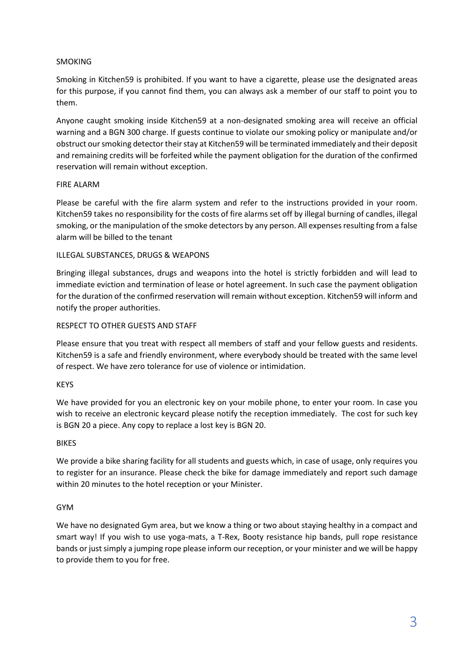### SMOKING

Smoking in Kitchen59 is prohibited. If you want to have a cigarette, please use the designated areas for this purpose, if you cannot find them, you can always ask a member of our staff to point you to them.

Anyone caught smoking inside Kitchen59 at a non-designated smoking area will receive an official warning and a BGN 300 charge. If guests continue to violate our smoking policy or manipulate and/or obstruct our smoking detector their stay at Kitchen59 will be terminated immediately and their deposit and remaining credits will be forfeited while the payment obligation for the duration of the confirmed reservation will remain without exception.

### FIRE ALARM

Please be careful with the fire alarm system and refer to the instructions provided in your room. Kitchen59 takes no responsibility for the costs of fire alarms set off by illegal burning of candles, illegal smoking, or the manipulation of the smoke detectors by any person. All expenses resulting from a false alarm will be billed to the tenant

### ILLEGAL SUBSTANCES, DRUGS & WEAPONS

Bringing illegal substances, drugs and weapons into the hotel is strictly forbidden and will lead to immediate eviction and termination of lease or hotel agreement. In such case the payment obligation for the duration of the confirmed reservation will remain without exception. Kitchen59 will inform and notify the proper authorities.

#### RESPECT TO OTHER GUESTS AND STAFF

Please ensure that you treat with respect all members of staff and your fellow guests and residents. Kitchen59 is a safe and friendly environment, where everybody should be treated with the same level of respect. We have zero tolerance for use of violence or intimidation.

### KEYS

We have provided for you an electronic key on your mobile phone, to enter your room. In case you wish to receive an electronic keycard please notify the reception immediately. The cost for such key is BGN 20 a piece. Any copy to replace a lost key is BGN 20.

#### BIKES

We provide a bike sharing facility for all students and guests which, in case of usage, only requires you to register for an insurance. Please check the bike for damage immediately and report such damage within 20 minutes to the hotel reception or your Minister.

#### GYM

We have no designated Gym area, but we know a thing or two about staying healthy in a compact and smart way! If you wish to use yoga-mats, a T-Rex, Booty resistance hip bands, pull rope resistance bands or just simply a jumping rope please inform our reception, or your minister and we will be happy to provide them to you for free.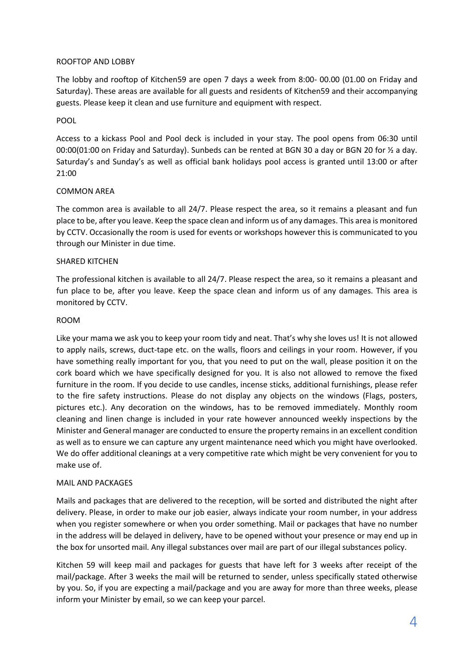### ROOFTOP AND LOBBY

The lobby and rooftop of Kitchen59 are open 7 days a week from 8:00- 00.00 (01.00 on Friday and Saturday). These areas are available for all guests and residents of Kitchen59 and their accompanying guests. Please keep it clean and use furniture and equipment with respect.

### POOL

Access to a kickass Pool and Pool deck is included in your stay. The pool opens from 06:30 until 00:00(01:00 on Friday and Saturday). Sunbeds can be rented at BGN 30 a day or BGN 20 for ½ a day. Saturday's and Sunday's as well as official bank holidays pool access is granted until 13:00 or after 21:00

### COMMON AREA

The common area is available to all 24/7. Please respect the area, so it remains a pleasant and fun place to be, after you leave. Keep the space clean and inform us of any damages. This area is monitored by CCTV. Occasionally the room is used for events or workshops however this is communicated to you through our Minister in due time.

### SHARED KITCHEN

The professional kitchen is available to all 24/7. Please respect the area, so it remains a pleasant and fun place to be, after you leave. Keep the space clean and inform us of any damages. This area is monitored by CCTV.

### ROOM

Like your mama we ask you to keep your room tidy and neat. That's why she loves us! It is not allowed to apply nails, screws, duct-tape etc. on the walls, floors and ceilings in your room. However, if you have something really important for you, that you need to put on the wall, please position it on the cork board which we have specifically designed for you. It is also not allowed to remove the fixed furniture in the room. If you decide to use candles, incense sticks, additional furnishings, please refer to the fire safety instructions. Please do not display any objects on the windows (Flags, posters, pictures etc.). Any decoration on the windows, has to be removed immediately. Monthly room cleaning and linen change is included in your rate however announced weekly inspections by the Minister and General manager are conducted to ensure the property remains in an excellent condition as well as to ensure we can capture any urgent maintenance need which you might have overlooked. We do offer additional cleanings at a very competitive rate which might be very convenient for you to make use of.

### MAIL AND PACKAGES

Mails and packages that are delivered to the reception, will be sorted and distributed the night after delivery. Please, in order to make our job easier, always indicate your room number, in your address when you register somewhere or when you order something. Mail or packages that have no number in the address will be delayed in delivery, have to be opened without your presence or may end up in the box for unsorted mail. Any illegal substances over mail are part of our illegal substances policy.

Kitchen 59 will keep mail and packages for guests that have left for 3 weeks after receipt of the mail/package. After 3 weeks the mail will be returned to sender, unless specifically stated otherwise by you. So, if you are expecting a mail/package and you are away for more than three weeks, please inform your Minister by email, so we can keep your parcel.